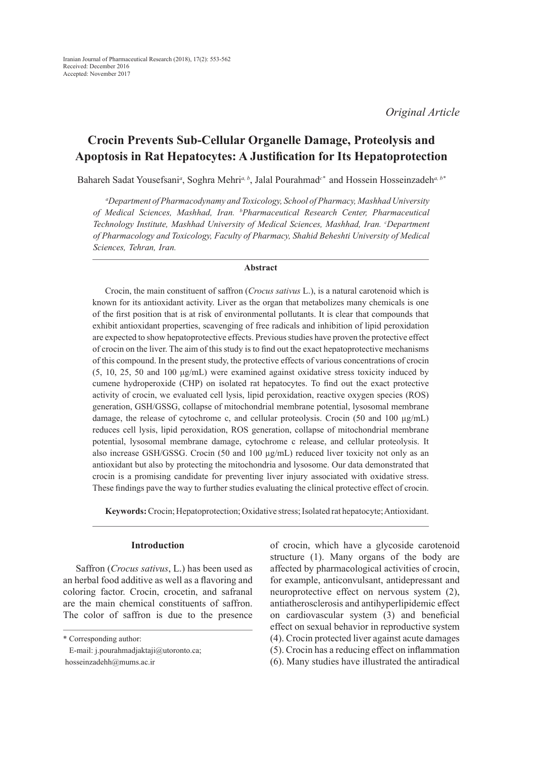# **Crocin Prevents Sub-Cellular Organelle Damage, Proteolysis and Apoptosis in Rat Hepatocytes: A Justification for Its Hepatoprotection**

Bahareh Sadat Yousefsani*<sup>a</sup>* , Soghra Mehri*a, b*, Jalal Pourahmad*c\** and Hossein Hosseinzadeh*a, b\** 

*a Department of Pharmacodynamy and Toxicology, School of Pharmacy, Mashhad University of Medical Sciences, Mashhad, Iran. b Pharmaceutical Research Center, Pharmaceutical*  Technology Institute, Mashhad University of Medical Sciences, Mashhad, Iran. <sup>c</sup>Department *of Pharmacology and Toxicology, Faculty of Pharmacy, Shahid Beheshti University of Medical Sciences, Tehran, Iran.*

### **Abstract**

Crocin, the main constituent of saffron (*Crocus sativus* L.), is a natural carotenoid which is known for its antioxidant activity. Liver as the organ that metabolizes many chemicals is one of the first position that is at risk of environmental pollutants. It is clear that compounds that exhibit antioxidant properties, scavenging of free radicals and inhibition of lipid peroxidation are expected to show hepatoprotective effects. Previous studies have proven the protective effect of crocin on the liver. The aim of this study is to find out the exact hepatoprotective mechanisms of this compound. In the present study, the protective effects of various concentrations of crocin (5, 10, 25, 50 and 100 μg/mL) were examined against oxidative stress toxicity induced by cumene hydroperoxide (CHP) on isolated rat hepatocytes. To find out the exact protective activity of crocin, we evaluated cell lysis, lipid peroxidation, reactive oxygen species (ROS) generation, GSH/GSSG, collapse of mitochondrial membrane potential, lysosomal membrane damage, the release of cytochrome c, and cellular proteolysis. Crocin (50 and 100  $\mu$ g/mL) reduces cell lysis, lipid peroxidation, ROS generation, collapse of mitochondrial membrane potential, lysosomal membrane damage, cytochrome c release, and cellular proteolysis. It also increase GSH/GSSG. Crocin (50 and 100 µg/mL) reduced liver toxicity not only as an antioxidant but also by protecting the mitochondria and lysosome. Our data demonstrated that crocin is a promising candidate for preventing liver injury associated with oxidative stress. These findings pave the way to further studies evaluating the clinical protective effect of crocin.

**Keywords:** Crocin; Hepatoprotection; Oxidative stress; Isolated rat hepatocyte; Antioxidant.

### **Introduction**

Saffron (*Crocus sativus*, L.) has been used as an herbal food additive as well as a flavoring and coloring factor. Crocin, crocetin, and safranal are the main chemical constituents of saffron. The color of saffron is due to the presence of crocin, which have a glycoside carotenoid structure (1). Many organs of the body are affected by pharmacological activities of crocin, for example, anticonvulsant, antidepressant and neuroprotective effect on nervous system (2), antiatherosclerosis and antihyperlipidemic effect on cardiovascular system (3) and beneficial effect on sexual behavior in reproductive system (4). Crocin protected liver against acute damages (5). Crocin has a reducing effect on inflammation

<sup>\*</sup> Corresponding author:

E-mail: j.pourahmadjaktaji@utoronto.ca; hosseinzadehh@mums.ac.ir

<sup>(6).</sup> Many studies have illustrated the antiradical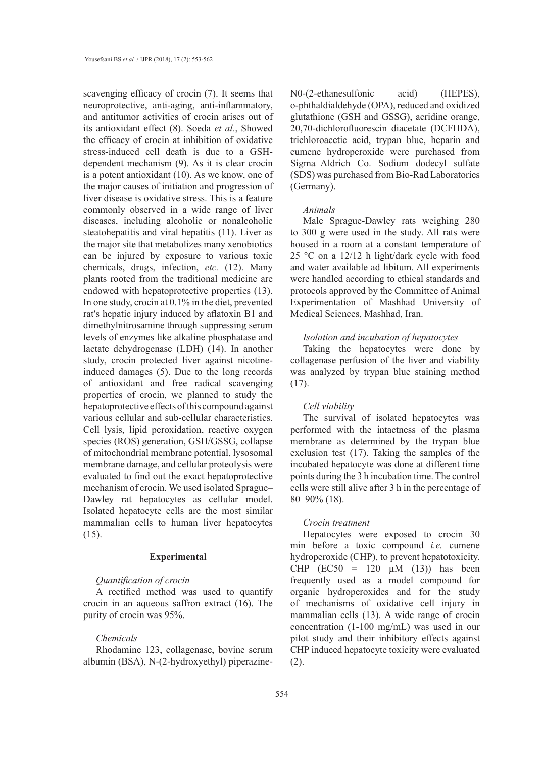scavenging efficacy of crocin (7). It seems that neuroprotective, anti-aging, anti-inflammatory, and antitumor activities of crocin arises out of its antioxidant effect (8). Soeda *et al.*, Showed the efficacy of crocin at inhibition of oxidative stress-induced cell death is due to a GSHdependent mechanism (9). As it is clear crocin is a potent antioxidant (10). As we know, one of the major causes of initiation and progression of liver disease is oxidative stress. This is a feature commonly observed in a wide range of liver diseases, including alcoholic or nonalcoholic steatohepatitis and viral hepatitis (11). Liver as the major site that metabolizes many xenobiotics can be injured by exposure to various toxic chemicals, drugs, infection, *etc.* (12). Many plants rooted from the traditional medicine are endowed with hepatoprotective properties (13). In one study, crocin at 0.1% in the diet, prevented rat's hepatic injury induced by aflatoxin B1 and dimethylnitrosamine through suppressing serum levels of enzymes like alkaline phosphatase and lactate dehydrogenase (LDH) (14). In another study, crocin protected liver against nicotineinduced damages (5). Due to the long records of antioxidant and free radical scavenging properties of crocin, we planned to study the hepatoprotective effects of this compound against various cellular and sub-cellular characteristics. Cell lysis, lipid peroxidation, reactive oxygen species (ROS) generation, GSH/GSSG, collapse of mitochondrial membrane potential, lysosomal membrane damage, and cellular proteolysis were evaluated to find out the exact hepatoprotective mechanism of crocin. We used isolated Sprague– Dawley rat hepatocytes as cellular model. Isolated hepatocyte cells are the most similar mammalian cells to human liver hepatocytes (15).

### **Experimental**

# *Quantification of crocin*

A rectified method was used to quantify crocin in an aqueous saffron extract (16). The purity of crocin was 95%.

### *Chemicals*

Rhodamine 123, collagenase, bovine serum albumin (BSA), N-(2-hydroxyethyl) piperazineN0-(2-ethanesulfonic acid) (HEPES), o-phthaldialdehyde (OPA), reduced and oxidized glutathione (GSH and GSSG), acridine orange, 20,70-dichlorofluorescin diacetate (DCFHDA), trichloroacetic acid, trypan blue, heparin and cumene hydroperoxide were purchased from Sigma–Aldrich Co. Sodium dodecyl sulfate (SDS) was purchased from Bio-Rad Laboratories (Germany).

#### *Animals*

Male Sprague-Dawley rats weighing 280 to 300 g were used in the study. All rats were housed in a room at a constant temperature of 25 °C on a 12/12 h light/dark cycle with food and water available ad libitum. All experiments were handled according to ethical standards and protocols approved by the Committee of Animal Experimentation of Mashhad University of Medical Sciences, Mashhad, Iran.

### *Isolation and incubation of hepatocytes*

Taking the hepatocytes were done by collagenase perfusion of the liver and viability was analyzed by trypan blue staining method  $(17)$ .

#### *Cell viability*

The survival of isolated hepatocytes was performed with the intactness of the plasma membrane as determined by the trypan blue exclusion test (17). Taking the samples of the incubated hepatocyte was done at different time points during the 3 h incubation time. The control cells were still alive after 3 h in the percentage of 80–90% (18).

#### *Crocin treatment*

Hepatocytes were exposed to crocin 30 min before a toxic compound *i.e.* cumene hydroperoxide (CHP), to prevent hepatotoxicity. CHP  $(EC50 = 120 \mu M (13))$  has been frequently used as a model compound for organic hydroperoxides and for the study of mechanisms of oxidative cell injury in mammalian cells (13). A wide range of crocin concentration (1-100 mg/mL) was used in our pilot study and their inhibitory effects against CHP induced hepatocyte toxicity were evaluated (2).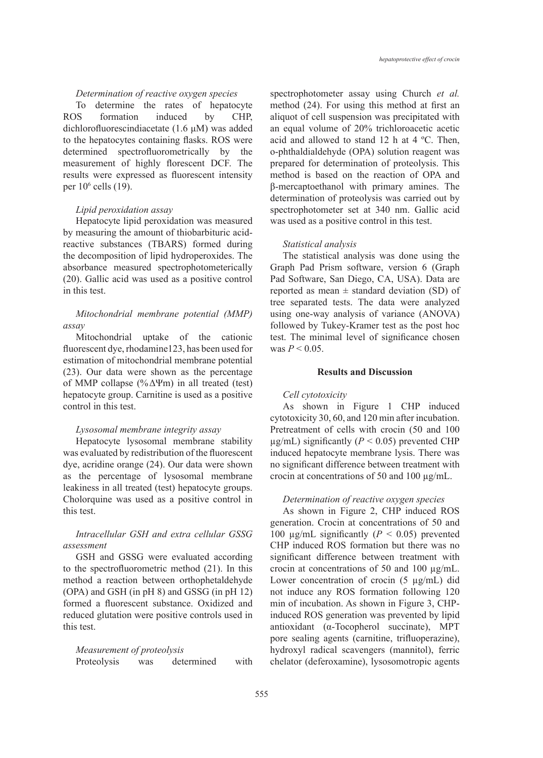### *Determination of reactive oxygen species*

To determine the rates of hepatocyte ROS formation induced by CHP, dichlorofluorescindiacetate (1.6 μM) was added to the hepatocytes containing flasks. ROS were determined spectrofluorometrically by the measurement of highly florescent DCF. The results were expressed as fluorescent intensity per 106 cells (19).

### *Lipid peroxidation assay*

Hepatocyte lipid peroxidation was measured by measuring the amount of thiobarbituric acidreactive substances (TBARS) formed during the decomposition of lipid hydroperoxides. The absorbance measured spectrophotometerically (20). Gallic acid was used as a positive control in this test.

# *Mitochondrial membrane potential (MMP) assay*

Mitochondrial uptake of the cationic fluorescent dye, rhodamine123, has been used for estimation of mitochondrial membrane potential (23). Our data were shown as the percentage of MMP collapse (%ΔΨm) in all treated (test) hepatocyte group. Carnitine is used as a positive control in this test.

# *Lysosomal membrane integrity assay*

Hepatocyte lysosomal membrane stability was evaluated by redistribution of the fluorescent dye, acridine orange (24). Our data were shown as the percentage of lysosomal membrane leakiness in all treated (test) hepatocyte groups. Cholorquine was used as a positive control in this test.

# *Intracellular GSH and extra cellular GSSG assessment*

GSH and GSSG were evaluated according to the spectrofluorometric method (21). In this method a reaction between orthophetaldehyde (OPA) and GSH (in pH 8) and GSSG (in pH 12) formed a fluorescent substance. Oxidized and reduced glutation were positive controls used in this test.

# *Measurement of proteolysis*

Proteolysis was determined with

spectrophotometer assay using Church *et al.* method (24). For using this method at first an aliquot of cell suspension was precipitated with an equal volume of 20% trichloroacetic acetic acid and allowed to stand 12 h at 4 ºC. Then, o-phthaldialdehyde (OPA) solution reagent was prepared for determination of proteolysis. This method is based on the reaction of OPA and β-mercaptoethanol with primary amines. The determination of proteolysis was carried out by spectrophotometer set at 340 nm. Gallic acid was used as a positive control in this test.

#### *Statistical analysis*

The statistical analysis was done using the Graph Pad Prism software, version 6 (Graph Pad Software, San Diego, CA, USA). Data are reported as mean  $\pm$  standard deviation (SD) of tree separated tests. The data were analyzed using one-way analysis of variance (ANOVA) followed by Tukey-Kramer test as the post hoc test. The minimal level of significance chosen was  $P < 0.05$ .

# **Results and Discussion**

### *Cell cytotoxicity*

As shown in Figure 1 CHP induced cytotoxicity 30, 60, and 120 min after incubation. Pretreatment of cells with crocin (50 and 100  $\mu$ g/mL) significantly (*P* < 0.05) prevented CHP induced hepatocyte membrane lysis. There was no significant difference between treatment with crocin at concentrations of 50 and 100 µg/mL.

### *Determination of reactive oxygen species*

As shown in Figure 2, CHP induced ROS generation. Crocin at concentrations of 50 and 100  $\mu$ g/mL significantly ( $P < 0.05$ ) prevented CHP induced ROS formation but there was no significant difference between treatment with crocin at concentrations of 50 and 100 µg/mL. Lower concentration of crocin (5 µg/mL) did not induce any ROS formation following 120 min of incubation. As shown in Figure 3, CHPinduced ROS generation was prevented by lipid antioxidant (α-Tocopherol succinate), MPT pore sealing agents (carnitine, trifluoperazine), hydroxyl radical scavengers (mannitol), ferric chelator (deferoxamine), lysosomotropic agents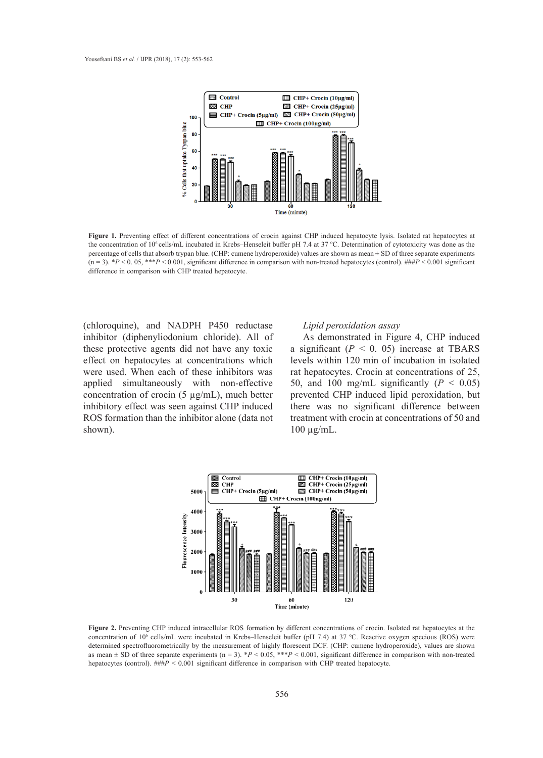

Figure 1. Preventing effect of different concentrations of crocin against CHP induced hepatocyte lysis. Isolated rat hepatocytes at the concentration of 10<sup>6</sup> cells/mL incubated in Krebs–Henseleit buffer pH 7.4 at 37 °C. Determination of cytotoxicity was done as the percentage of cells that absorb trypan blue. (CHP: cumene hydroperoxide) values are shown as mean ± SD of three separate experiments  $(n=3)$ . \*P < 0.05, \*\*\*P < 0.001, significant difference in comparison with non-treated hepatocytes (control). ###P < 0.001 significant difference in comparison with CHP treated hepatocyte.

(chloroquine), and NADPH P450 reductase inhibitor (diphenyliodonium chloride). All of these protective agents did not have any toxic effect on hepatocytes at concentrations which were used. When each of these inhibitors was applied simultaneously with non-effective concentration of crocin (5  $\mu$ g/mL), much better prevented inhibitory effect was seen against CHP induced ROS formation than the inhibitor alone (data not shown).

### *Lipid peroxidation assay*

mium chloride). All of As demonstrated in Figure 4, CHP induced a significant  $(P < 0.05)$  increase at TBARS and not have any term of effective concentration of incubation in isolated at concentrations which levels within 120 min of incubation in isolated rat hepatocytes. Crocin at concentrations of 25, y with non-effective 50, and 100 mg/mL significantly  $(P < 0.05)$ prevented CHP induced lipid peroxidation, but there was no significant difference between treatment with crocin at concentrations of 50 and inhibitor alone (data not reatment with crocin at concentrations of 50 and  $100 \mu\text{g/mL}$ .



Figure 2. Preventing CHP induced intracellular ROS formation by different concentrations of crocin. Isolated rat hepatocytes at the concentration of 10<sup>6</sup> cells/mL were incubated in Krebs–Henseleit buffer (pH 7.4) at 37 °C. Reactive oxygen specious (ROS) were determined spectrofluorometrically by the measurement of highly florescent DCF. (CHP: cumene hydroperoxide), values are shown as mean  $\pm$  SD of three separate experiments (n = 3). \**P* < 0.05, \*\*\**P* < 0.001, significant difference in comparison with non-treated hepatocytes (control).  $\# \# P < 0.001$  significant difference in comparison with CHP treated hepatocyte. (pH 7.4) at 37 °C. Reactive original specifically were determined specifically by the specifical lynnosism of the specifical lynnosism original specifical lynnosism original lynnosism or the specifical lynnosism original l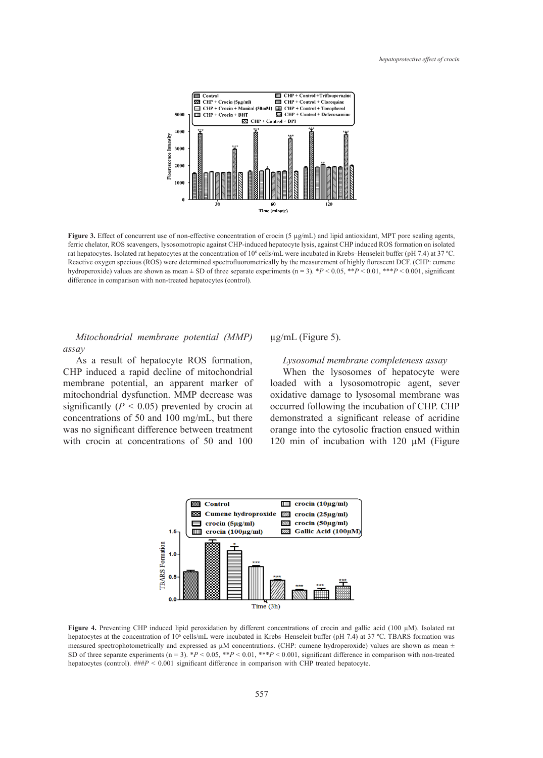

Figure 3. Effect of concurrent use of non-effective concentration of crocin (5  $\mu$ g/mL) and lipid antioxidant, MPT pore sealing agents, ferric chelator, ROS scavengers, lysosomotropic against CHP-induced hepatocyte lysis, against CHP induced ROS formation on isolated rat hepatocytes. Isolated rat hepatocytes at the concentration of 10<sup>6</sup> cells/mL were incubated in Krebs–Henseleit buffer (pH 7.4) at 37 °C. Reactive oxygen specious (ROS) were determined spectrofluorometrically by the measurement of highly florescent DCF. (CHP: cumene hydroperoxide) values are shown as mean  $\pm$  SD of three separate experiments (n = 3). \*P < 0.05, \*\*P < 0.01, \*\*\*P < 0.001, significant difference in comparison with non-treated happtocytes (control). difference in comparison with non-treated hepatocytes (control).

*Mitochondrial membrane potential (MMP)* ug/mL (Figure 5). *assay*

As a result of hepatocyte ROS formation, CHP induced a rapid decline of mitochondrial membrane potential, an apparent marker of mitochondrial dysfunction. MMP decrease was  $\frac{1}{2}$  significantly (*P* < 0.05) prevented by crocin at concentrations of 50 and 100 mg/mL, but there was no significant difference between treatment with crocin at concentrations of 50 and 100

µg/mL (Figure 5).

### *Lysosomal membrane completeness assay*

When the lysosomes of hepatocyte were loaded with a lysosomotropic agent, sever oxidative damage to lysosomal membrane was occurred following the incubation of CHP. CHP demonstrated a significant release of acridine For mg/me, our little demonstrated a significant (*Polase* of defiant  $\alpha$  and  $\beta$  and  $\beta$  and  $\beta$  and  $\beta$  are  $\alpha$  is  $\beta$  and  $\beta$  and  $\beta$  are  $\alpha$  is  $\beta$  and  $\beta$  are  $\alpha$  is  $\beta$  and  $\alpha$  is  $\beta$  and  $\alpha$  is  $\beta$ ations of 50 and 100 120 min of incubation with 120  $\mu$ M (Figure



**Figure 4.** Preventing CHP induced lipid peroxidation by different concentrations of crocin and gallic acid (100 µM). Isolated rat **rigure 4.** Preventing CHP induced fipid peroxidation by different concentrations of crocin and game acid (100 µm). Isolated fat<br>hepatocytes at the concentration of 10<sup>6</sup> cells/mL were incubated in Krebs–Henseleit buffer ( measured spectrophotometrically and expressed as  $\mu$ M concentrations. (CHP: cumene hydroperoxide) values are shown as mean  $\pm$ SD of three separate experiments  $(n = 3)$ . \**P* < 0.05, \*\**P* < 0.01, \*\*\**P* < 0.001, significant difference in comparison with non-treated hepatocytes (control).  $\# \# P \leq 0.001$  significant difference in comparison with CHP treated hepatocyte.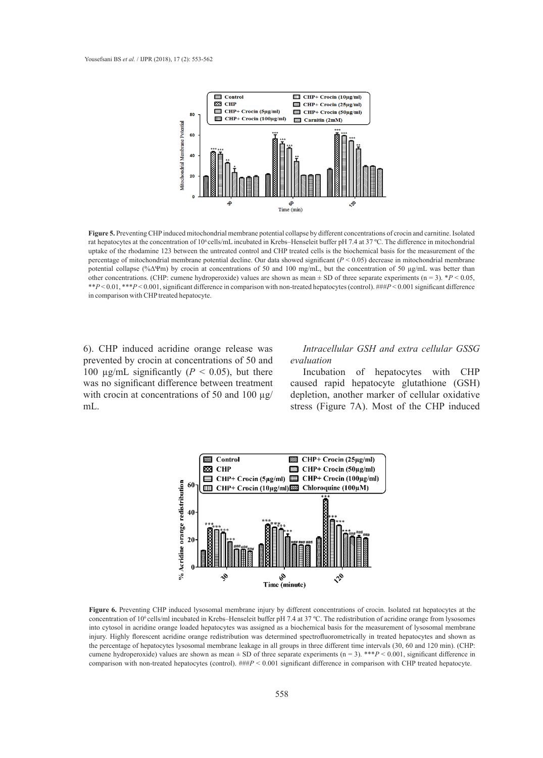

Figure 5. Preventing CHP induced mitochondrial membrane potential collapse by different concentrations of crocin and carnitine. Isolated uptake of the rhodamine 123 between the untreated control and CHP treated cells is the biochemical basis for the measurement of the  $\mu$  7.4 at 37 ° 1.1 at 37.6 at 37.4 at 37.4 at 37.4 at 37.4 at 37.4 at 37.4 at 37.4 at 37.4 at 37.4 at 37.4 at 37.4 at 37.4 at 37.4 at 37.4 at 37.4 at 37.4 at 37.4 at 37.4 at 37.4 at 37.4 at 37.4 at 37.4 at 37.4 at 37.4 other concentrations. (CHP, cumene hydroperoxide) values are shown as mean  $\pm$  SD of three separate experiments (n – 5).  $r > 0.05$ ,<br>\*\* $P < 0.01$ , \*\* $P < 0.001$ , significant difference in comparison with non-treated hepatoc  $d$  hepatocyte. rat hepatocytes at the concentration of 10<sup>6</sup> cells/mL incubated in Krebs–Henseleit buffer pH 7.4 at 37 °C. The difference in mitochondrial percentage of mitochondrial membrane potential decline. Our data showed significant (*P* < 0.05) decrease in mitochondrial membrane other concentrations. (CHP: cumene hydroperoxide) values are shown as mean  $\pm$  SD of three separate experiments (n = 3). \**P* < 0.05, in comparison with CHP treated hepatocyte.

6). CHP induced acridine orange release was prevented by crocin at concentrations of 50 and *evaluation* 100  $\mu$ g/mL significantly ( $P < 0.05$ ), but there was no significant difference between treatment with crocin at concentrations of 50 and 100  $\mu$ g/ mL.

# dine orange release was *Intracellular GSH and extra cellular GSSG evaluation*

Incubation of hepatocytes with CHP example of the measurement caused rapid hepatocytes with CHP treatment caused rapid hepatocyte glutathione (GSH) depletion, another marker of cellular oxidative stress (Figure 7A). Most of the CHP induced



Figure 6. Preventing CHP induced lysosomal membrane injury by different concentrations of crocin. Isolated rat hepatocytes at the concentration of 10<sup>6</sup> cells/ml incubated in Krebs–Henseleit buffer pH 7.4 at 37 °C. The redistribution of acridine orange from lysosomes into cytosol in acridine orange loaded hepatocytes was assigned as a biochemical basis for the measurement of lysosomal membrane injury. Highly florescent acridine orange redistribution was determined spectrofluorometrically in treated hepatocytes and shown as the percentage of hepatocytes lysosomal membrane leakage in all groups in three different time intervals (30, 60 and 120 min). (CHP: cumene hydroperoxide) values are shown as mean  $\pm$  SD of three separate experiments ( $n = 3$ ). \*\*\* $P < 0.001$ , significant difference in cument hydroperoxide) values are shown as mean  $\pm$  SD of three separate experiments (n = 5).  $\pm$   $\pm$   $\pm$  0.001, significant difference in comparison with non-treated hepatocytes (control). ###P < 0.001 significant dif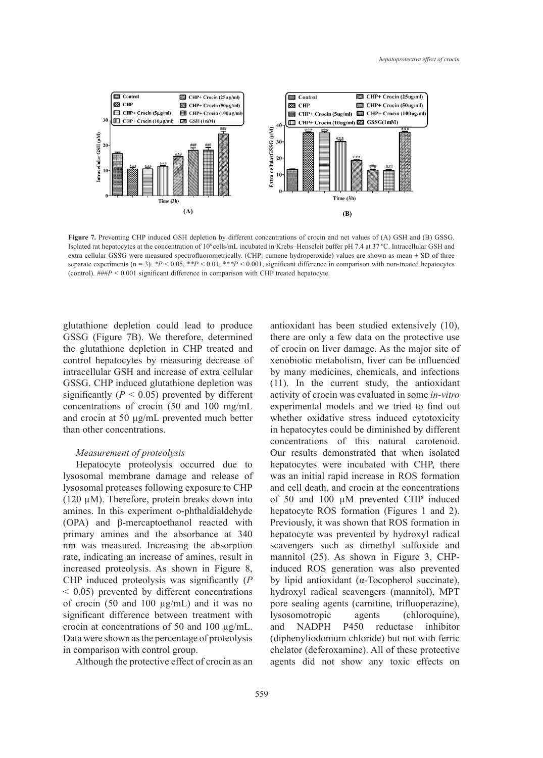

Isolated rat hepatocytes at the concentration of 10<sup>6</sup> cells/mL incubated in Krebs–Henseleit buffer pH 7.4 at 37 °C. Intracellular GSH and (control). ###*P* < 0.001 significant difference in comparison with CHP treated hepatocyte. **Figure 7.** Preventing CHP induced GSH depletion by different concentrations of crocin and net values of (A) GSH and (B) GSSG. extra cellular GSSG were measured spectrofluorometrically. (CHP: cumene hydroperoxide) values are shown as mean  $\pm$  SD of three separate experiments ( $n = 3$ ). *\*P* < 0.05, *\*\*P* < 0.01, *\*\*\*P* < 0.001, significant difference in comparison with non-treated hepatocytes

glutathione depletion could lead to produce GSSG (Figure 7B). We therefore, determined the glutathione depletion in CHP treated and control hepatocytes by measuring decrease of intracellular GSH and increase of extra cellular GSSG. CHP induced glutathione depletion was significantly ( $P < 0.05$ ) prevented by different concentrations of crocin (50 and 100 mg/mL and crocin at 50 µg/mL prevented much better than other concentrations.

### *Measurement of proteolysis*

Hepatocyte proteolysis occurred due to lysosomal membrane damage and release of lysosomal proteases following exposure to CHP (120 µM). Therefore, protein breaks down into amines. In this experiment o-phthaldialdehyde (OPA) and β-mercaptoethanol reacted with primary amines and the absorbance at 340 nm was measured. Increasing the absorption rate, indicating an increase of amines, result in increased proteolysis. As shown in Figure 8, CHP induced proteolysis was significantly (*P* < 0.05) prevented by different concentrations of crocin (50 and 100 µg/mL) and it was no significant difference between treatment with crocin at concentrations of 50 and 100 µg/mL. Data were shown as the percentage of proteolysis in comparison with control group.

Although the protective effect of crocin as an

antioxidant has been studied extensively (10), There are only a few data on the protective use (Figure 7B). We therefore, determined there are only a few data on the protective use tathione depletion in CHP treated and of crocin on liver damage. As the major site of xenobiotic metabolism, liver can be influenced by many medicines, chemicals, and infections (11). In the current study, the antioxidant activity of crocin was evaluated in some *in-vitro* experimental models and we tried to find out whether oxidative stress induced cytotoxicity in hepatocytes could be diminished by different concentrations of this natural carotenoid. Our results demonstrated that when isolated atocyte proteolysis occurred due to hepatocytes were incubated with CHP, there nal membrane damage and release of was an initial rapid increase in ROS formation and cell death, and crocin at the concentrations M). Therefore, protein breaks down into  $\qquad$  of 50 and 100  $\mu$ M prevented CHP induced hepatocyte ROS formation (Figures 1 and 2). and  $\beta$ -mercaptoethanol reacted with Previously, it was shown that ROS formation in hepatocyte was prevented by hydroxyl radical s measured. Increasing the absorption scavengers such as dimethyl sulfoxide and mannitol (25). As shown in Figure 3, CHPed proteolysis. As shown in Figure 8, induced ROS generation was also prevented by lipid antioxidant (α-Tocopherol succinate), hydroxyl radical scavengers (mannitol), MPT pore sealing agents (carnitine, trifluoperazine), lysosomotropic agents (chloroquine), and NADPH P450 reductase inhibitor (diphenyliodonium chloride) but not with ferric chelator (deferoxamine). All of these protective agents did not show any toxic effects on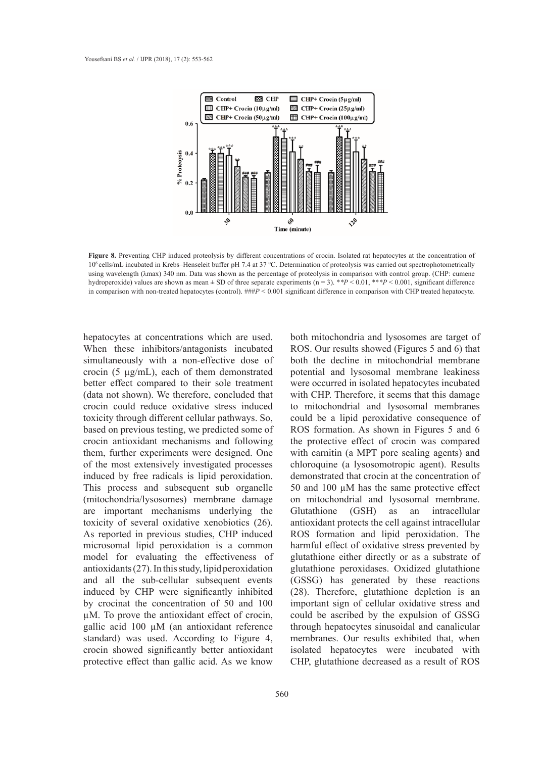

Figure 8. Preventing CHP induced proteolysis by different concentrations of crocin. Isolated rat hepatocytes at the concentration of 106 cells/mL incubated in Krebs–Henseleit buffer pH 7.4 at 37 ºC. Determination of proteolysis was carried out spectrophotometrically using wavelength ( $\lambda$ max) 340 nm. Data was shown as the percentage of proteolysis in comparison with control group. (CHP: cumene hydroperoxide) values are shown as mean ± SD of three separate experiments (n = 3). \**\*P* < 0.01, \*\**\*P* < 0.001, significant difference in comparison with non-treated hepatocytes (control).  $\# \# P < 0.001$  significant difference in comparison with CHP treated hepatocyte.

hepatocytes at concentrations which are used. When these inhibitors/antagonists incubated simultaneously with a non-effective dose of crocin (5 µg/mL), each of them demonstrated better effect compared to their sole treatment (data not shown). We therefore, concluded that crocin could reduce oxidative stress induced toxicity through different cellular pathways. So, based on previous testing, we predicted some of crocin antioxidant mechanisms and following them, further experiments were designed. One of the most extensively investigated processes induced by free radicals is lipid peroxidation. This process and subsequent sub organelle (mitochondria/lysosomes) membrane damage are important mechanisms underlying the toxicity of several oxidative xenobiotics (26). As reported in previous studies, CHP induced microsomal lipid peroxidation is a common model for evaluating the effectiveness of antioxidants (27). In this study, lipid peroxidation and all the sub-cellular subsequent events induced by CHP were significantly inhibited by crocinat the concentration of 50 and 100 µM. To prove the antioxidant effect of crocin, gallic acid 100 µM (an antioxidant reference standard) was used. According to Figure 4, crocin showed significantly better antioxidant protective effect than gallic acid. As we know

both mitochondria and lysosomes are target of Figures 3 and 2014 and 2014 and 2016 and 2016 and 2016 and 2016 and 2016 and 30 and 30 and 40 that non-treated hepatocontrol and 40 that  $ROS$ . Our results showed (Figures 5 and 6) that a non-effective dose of both the decline in mitochondrial membrane potential and lysosomal membrane leakiness were occurred in isolated hepatocytes incubated with CHP. Therefore, it seems that this damage to mitochondrial and lysosomal membranes could be a lipid peroxidative consequence of ROS formation. As shown in Figures 5 and 6 the protective effect of crocin was compared with carnitin (a MPT pore sealing agents) and chloroquine (a lysosomotropic agent). Results als is lipid peroxidation. demonstrated that crocin at the concentration of 50 and 100 µM has the same protective effect nes) membrane damage on mitochondrial and lysosomal membrane. Glutathione (GSH) as an intracellular  $x$ enobiotics (26). antioxidant protects the cell against intracellular influenced by metabolism, and infections, and infections,  $\frac{dy}{dx} = \frac{1}{2}$ ROS formation and lipid peroxidation. The (11). In the current study, the antioxidative stress prevented by continuous of continuous of continuous crocin was evaluated in some *in-vitroor care in-vitroor care in-vitroor care in-vitroor care in-vitroor care in-vitr* glutathione either directly or as a substrate of glutathione peroxidases. Oxidized glutathione has staty, approximation structure performations contained graduations stress in the stress experiment of  $(GSSG)$  has generated by these reactions (28). Therefore, glutathione depletion is an entration of 50 and 100 important sign of cellular oxidative stress and could be ascribed by the expulsion of GSSG (an antioxidant reference through hepatocytes sinusoidal and canalicular membranes. Our results exhibited that, when isolated hepatocytes were incubated with CHP, glutathione decreased as a result of ROS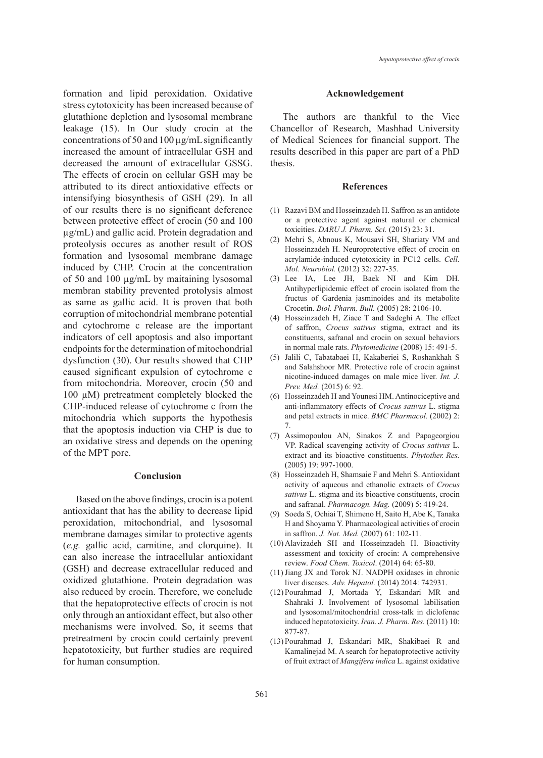formation and lipid peroxidation. Oxidative stress cytotoxicity has been increased because of glutathione depletion and lysosomal membrane leakage (15). In Our study crocin at the concentrations of 50 and 100 µg/mL significantly increased the amount of intracellular GSH and decreased the amount of extracellular GSSG. The effects of crocin on cellular GSH may be attributed to its direct antioxidative effects or intensifying biosynthesis of GSH (29). In all of our results there is no significant deference between protective effect of crocin (50 and 100 µg/mL) and gallic acid. Protein degradation and proteolysis occures as another result of ROS formation and lysosomal membrane damage induced by CHP. Crocin at the concentration of 50 and 100 µg/mL by maitaining lysosomal membran stability prevented protolysis almost as same as gallic acid. It is proven that both corruption of mitochondrial membrane potential and cytochrome c release are the important indicators of cell apoptosis and also important endpoints for the determination of mitochondrial dysfunction (30). Our results showed that CHP caused significant expulsion of cytochrome c from mitochondria. Moreover, crocin (50 and 100 µM) pretreatment completely blocked the CHP-induced release of cytochrome c from the mitochondria which supports the hypothesis that the apoptosis induction via CHP is due to an oxidative stress and depends on the opening of the MPT pore.

# **Conclusion**

Based on the above findings, crocin is a potent antioxidant that has the ability to decrease lipid peroxidation, mitochondrial, and lysosomal membrane damages similar to protective agents (*e.g.* gallic acid, carnitine, and clorquine). It can also increase the intracellular antioxidant (GSH) and decrease extracellular reduced and oxidized glutathione. Protein degradation was also reduced by crocin. Therefore, we conclude that the hepatoprotective effects of crocin is not only through an antioxidant effect, but also other mechanisms were involved. So, it seems that pretreatment by crocin could certainly prevent hepatotoxicity, but further studies are required for human consumption.

### **Acknowledgement**

The authors are thankful to the Vice Chancellor of Research, Mashhad University of Medical Sciences for financial support. The results described in this paper are part of a PhD thesis.

#### **References**

- Razavi BM and Hosseinzadeh H. Saffron as an antidote (1) or a protective agent against natural or chemical toxicities. *DARU J. Pharm. Sci.* (2015) 23: 31.
- (2) Mehri S, Abnous K, Mousavi SH, Shariaty VM and Hosseinzadeh H. Neuroprotective effect of crocin on acrylamide-induced cytotoxicity in PC12 cells. *Cell. Mol. Neurobiol.* (2012) 32: 227-35.
- Lee IA, Lee JH, Baek NI and Kim DH. (3) Antihyperlipidemic effect of crocin isolated from the fructus of Gardenia jasminoides and its metabolite Crocetin. *Biol. Pharm. Bull.* (2005) 28: 2106-10.
- $(4)$  Hosseinzadeh H, Ziaee T and Sadeghi A. The effect of saffron, *Crocus sativus* stigma, extract and its constituents, safranal and crocin on sexual behaviors in normal male rats. *Phytomedicine* (2008) 15: 491-5.
- Jalili C, Tabatabaei H, Kakaberiei S, Roshankhah S (5) and Salahshoor MR. Protective role of crocin against nicotine-induced damages on male mice liver. *Int. J. Prev. Med.* (2015) 6: 92.
- (6) Hosseinzadeh H and Younesi HM. Antinociceptive and anti-inflammatory effects of *Crocus sativus* L. stigma and petal extracts in mice. *BMC Pharmacol.* (2002) 2: 7.
- Assimopoulou AN, Sinakos Z and Papageorgiou (7) VP. Radical scavenging activity of *Crocus sativus* L. extract and its bioactive constituents. *Phytother. Res.*  (2005) 19: 997-1000.
- (8) Hosseinzadeh H, Shamsaie F and Mehri S. Antioxidant activity of aqueous and ethanolic extracts of *Crocus sativus* L. stigma and its bioactive constituents, crocin and safranal. *Pharmacogn. Mag.* (2009) 5: 419-24.
- (9) Soeda S, Ochiai T, Shimeno H, Saito H, Abe K, Tanaka H and Shoyama Y. Pharmacological activities of crocin in saffron. *J. Nat. Med.* (2007) 61: 102-11.
- (10) Alavizadeh SH and Hosseinzadeh H. Bioactivity assessment and toxicity of crocin: A comprehensive review. *Food Chem. Toxicol*. (2014) 64: 65-80.
- $(11)$  Jiang JX and Torok NJ. NADPH oxidases in chronic liver diseases. *Adv. Hepatol.* (2014) 2014: 742931.
- Pourahmad J, Mortada Y, Eskandari MR and (12) Shahraki J. Involvement of lysosomal labilisation and lysosomal/mitochondrial cross-talk in diclofenac induced hepatotoxicity. *Iran. J. Pharm. Res.* (2011) 10: 877-87.
- (13) Pourahmad J, Eskandari MR, Shakibaei R and Kamalinejad M. A search for hepatoprotective activity of fruit extract of *Mangifera indica* L. against oxidative